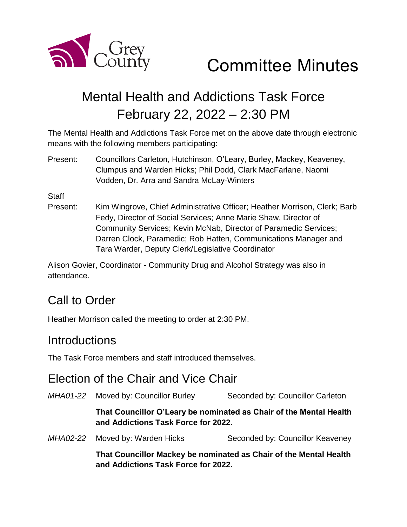

# Mental Health and Addictions Task Force February 22, 2022 – 2:30 PM

The Mental Health and Addictions Task Force met on the above date through electronic means with the following members participating:

Present: Councillors Carleton, Hutchinson, O'Leary, Burley, Mackey, Keaveney, Clumpus and Warden Hicks; Phil Dodd, Clark MacFarlane, Naomi Vodden, Dr. Arra and Sandra McLay-Winters

**Staff** 

Present: Kim Wingrove, Chief Administrative Officer; Heather Morrison, Clerk; Barb Fedy, Director of Social Services; Anne Marie Shaw, Director of Community Services; Kevin McNab, Director of Paramedic Services; Darren Clock, Paramedic; Rob Hatten, Communications Manager and Tara Warder, Deputy Clerk/Legislative Coordinator

Alison Govier, Coordinator - Community Drug and Alcohol Strategy was also in attendance.

## Call to Order

Heather Morrison called the meeting to order at 2:30 PM.

#### **Introductions**

The Task Force members and staff introduced themselves.

#### Election of the Chair and Vice Chair

*MHA01-22* Moved by: Councillor Burley Seconded by: Councillor Carleton **That Councillor O'Leary be nominated as Chair of the Mental Health and Addictions Task Force for 2022.**  *MHA02-22* Moved by: Warden Hicks Seconded by: Councillor Keaveney **That Councillor Mackey be nominated as Chair of the Mental Health and Addictions Task Force for 2022.**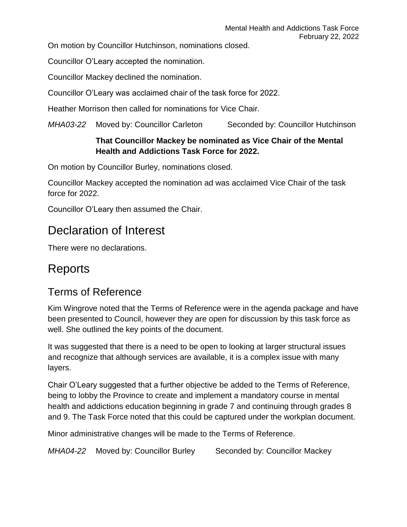On motion by Councillor Hutchinson, nominations closed.

Councillor O'Leary accepted the nomination.

Councillor Mackey declined the nomination.

Councillor O'Leary was acclaimed chair of the task force for 2022.

Heather Morrison then called for nominations for Vice Chair.

*MHA03-22* Moved by: Councillor Carleton Seconded by: Councillor Hutchinson

#### **That Councillor Mackey be nominated as Vice Chair of the Mental Health and Addictions Task Force for 2022.**

On motion by Councillor Burley, nominations closed.

Councillor Mackey accepted the nomination ad was acclaimed Vice Chair of the task force for 2022.

Councillor O'Leary then assumed the Chair.

## Declaration of Interest

There were no declarations.

## Reports

#### Terms of Reference

Kim Wingrove noted that the Terms of Reference were in the agenda package and have been presented to Council, however they are open for discussion by this task force as well. She outlined the key points of the document.

It was suggested that there is a need to be open to looking at larger structural issues and recognize that although services are available, it is a complex issue with many layers.

Chair O'Leary suggested that a further objective be added to the Terms of Reference, being to lobby the Province to create and implement a mandatory course in mental health and addictions education beginning in grade 7 and continuing through grades 8 and 9. The Task Force noted that this could be captured under the workplan document.

Minor administrative changes will be made to the Terms of Reference.

*MHA04-22* Moved by: Councillor Burley Seconded by: Councillor Mackey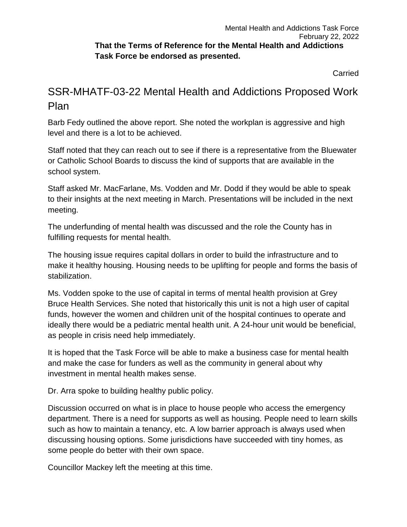Carried

#### SSR-MHATF-03-22 Mental Health and Addictions Proposed Work Plan

Barb Fedy outlined the above report. She noted the workplan is aggressive and high level and there is a lot to be achieved.

Staff noted that they can reach out to see if there is a representative from the Bluewater or Catholic School Boards to discuss the kind of supports that are available in the school system.

Staff asked Mr. MacFarlane, Ms. Vodden and Mr. Dodd if they would be able to speak to their insights at the next meeting in March. Presentations will be included in the next meeting.

The underfunding of mental health was discussed and the role the County has in fulfilling requests for mental health.

The housing issue requires capital dollars in order to build the infrastructure and to make it healthy housing. Housing needs to be uplifting for people and forms the basis of stabilization.

Ms. Vodden spoke to the use of capital in terms of mental health provision at Grey Bruce Health Services. She noted that historically this unit is not a high user of capital funds, however the women and children unit of the hospital continues to operate and ideally there would be a pediatric mental health unit. A 24-hour unit would be beneficial, as people in crisis need help immediately.

It is hoped that the Task Force will be able to make a business case for mental health and make the case for funders as well as the community in general about why investment in mental health makes sense.

Dr. Arra spoke to building healthy public policy.

Discussion occurred on what is in place to house people who access the emergency department. There is a need for supports as well as housing. People need to learn skills such as how to maintain a tenancy, etc. A low barrier approach is always used when discussing housing options. Some jurisdictions have succeeded with tiny homes, as some people do better with their own space.

Councillor Mackey left the meeting at this time.